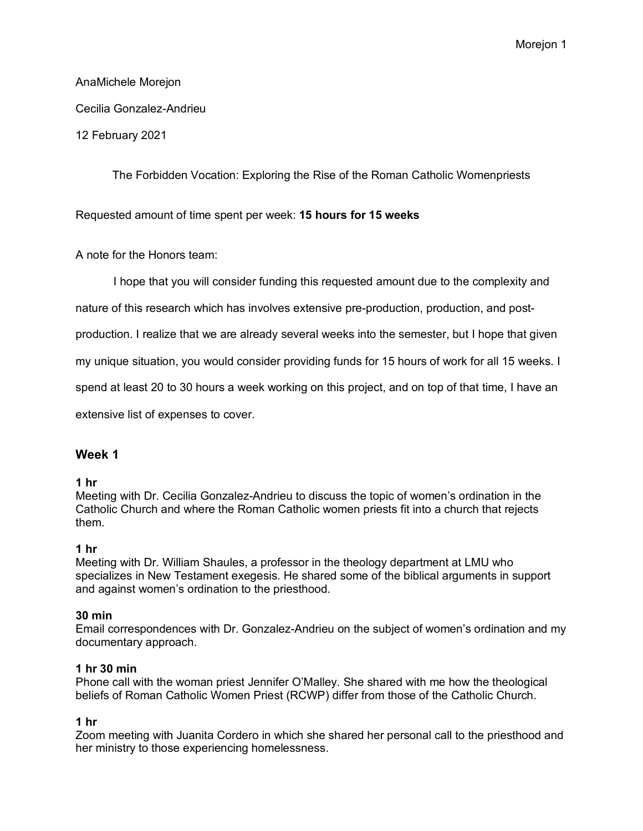# AnaMichele Morejon Cecilia Gonzalez-Andrieu

12 February 2021

The Forbidden Vocation: Exploring the Rise of the Roman Catholic Womenpriests

Requested amount of time spent per week: **15 hours for 15 weeks**

A note for the Honors team:

I hope that you will consider funding this requested amount due to the complexity and

nature of this research which has involves extensive pre-production, production, and post-

production. I realize that we are already several weeks into the semester, but I hope that given

my unique situation, you would consider providing funds for 15 hours of work for all 15 weeks. I

spend at least 20 to 30 hours a week working on this project, and on top of that time, I have an

extensive list of expenses to cover.

### **Week 1**

### **1 hr**

Meeting with Dr. Cecilia Gonzalez-Andrieu to discuss the topic of women's ordination in the Catholic Church and where the Roman Catholic women priests fit into a church that rejects them.

### **1 hr**

Meeting with Dr. William Shaules, a professor in the theology department at LMU who specializes in New Testament exegesis. He shared some of the biblical arguments in support and against women's ordination to the priesthood.

### **30 min**

Email correspondences with Dr. Gonzalez-Andrieu on the subject of women's ordination and my documentary approach.

### **1 hr 30 min**

Phone call with the woman priest Jennifer O'Malley. She shared with me how the theological beliefs of Roman Catholic Women Priest (RCWP) differ from those of the Catholic Church.

### **1 hr**

Zoom meeting with Juanita Cordero in which she shared her personal call to the priesthood and her ministry to those experiencing homelessness.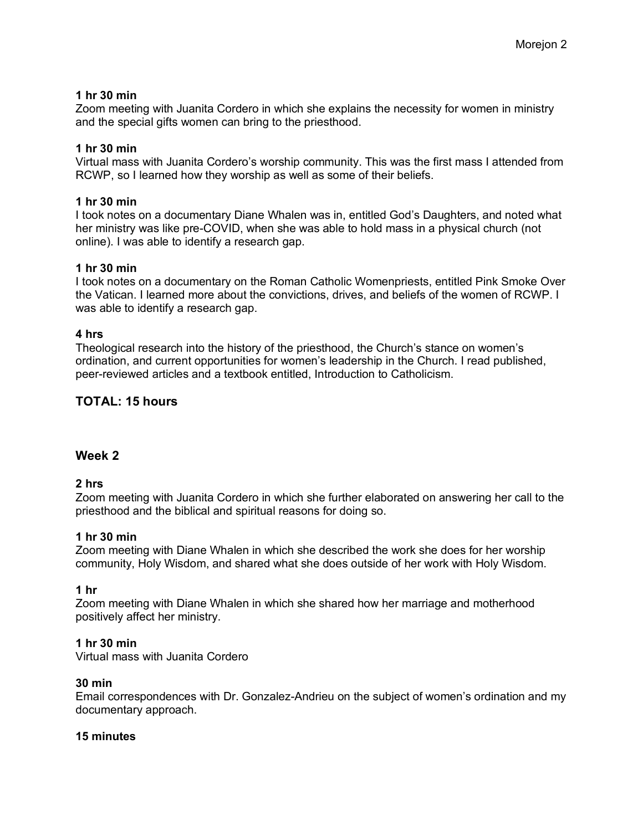### **1 hr 30 min**

Zoom meeting with Juanita Cordero in which she explains the necessity for women in ministry and the special gifts women can bring to the priesthood.

### **1 hr 30 min**

Virtual mass with Juanita Cordero's worship community. This was the first mass I attended from RCWP, so I learned how they worship as well as some of their beliefs.

### **1 hr 30 min**

I took notes on a documentary Diane Whalen was in, entitled God's Daughters, and noted what her ministry was like pre-COVID, when she was able to hold mass in a physical church (not online). I was able to identify a research gap.

### **1 hr 30 min**

I took notes on a documentary on the Roman Catholic Womenpriests, entitled Pink Smoke Over the Vatican. I learned more about the convictions, drives, and beliefs of the women of RCWP. I was able to identify a research gap.

### **4 hrs**

Theological research into the history of the priesthood, the Church's stance on women's ordination, and current opportunities for women's leadership in the Church. I read published, peer-reviewed articles and a textbook entitled, Introduction to Catholicism.

# **TOTAL: 15 hours**

# **Week 2**

### **2 hrs**

Zoom meeting with Juanita Cordero in which she further elaborated on answering her call to the priesthood and the biblical and spiritual reasons for doing so.

### **1 hr 30 min**

Zoom meeting with Diane Whalen in which she described the work she does for her worship community, Holy Wisdom, and shared what she does outside of her work with Holy Wisdom.

### **1 hr**

Zoom meeting with Diane Whalen in which she shared how her marriage and motherhood positively affect her ministry.

### **1 hr 30 min**

Virtual mass with Juanita Cordero

### **30 min**

Email correspondences with Dr. Gonzalez-Andrieu on the subject of women's ordination and my documentary approach.

### **15 minutes**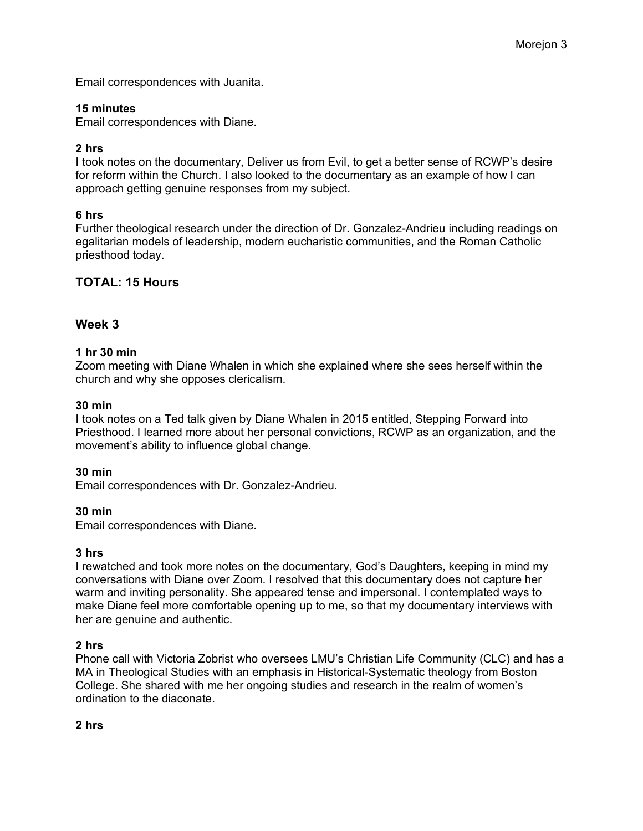Email correspondences with Juanita.

### **15 minutes**

Email correspondences with Diane.

#### **2 hrs**

I took notes on the documentary, Deliver us from Evil, to get a better sense of RCWP's desire for reform within the Church. I also looked to the documentary as an example of how I can approach getting genuine responses from my subject.

#### **6 hrs**

Further theological research under the direction of Dr. Gonzalez-Andrieu including readings on egalitarian models of leadership, modern eucharistic communities, and the Roman Catholic priesthood today.

### **TOTAL: 15 Hours**

### **Week 3**

#### **1 hr 30 min**

Zoom meeting with Diane Whalen in which she explained where she sees herself within the church and why she opposes clericalism.

#### **30 min**

I took notes on a Ted talk given by Diane Whalen in 2015 entitled, Stepping Forward into Priesthood. I learned more about her personal convictions, RCWP as an organization, and the movement's ability to influence global change.

#### **30 min**

Email correspondences with Dr. Gonzalez-Andrieu.

#### **30 min**

Email correspondences with Diane.

#### **3 hrs**

I rewatched and took more notes on the documentary, God's Daughters, keeping in mind my conversations with Diane over Zoom. I resolved that this documentary does not capture her warm and inviting personality. She appeared tense and impersonal. I contemplated ways to make Diane feel more comfortable opening up to me, so that my documentary interviews with her are genuine and authentic.

#### **2 hrs**

Phone call with Victoria Zobrist who oversees LMU's Christian Life Community (CLC) and has a MA in Theological Studies with an emphasis in Historical-Systematic theology from Boston College. She shared with me her ongoing studies and research in the realm of women's ordination to the diaconate.

#### **2 hrs**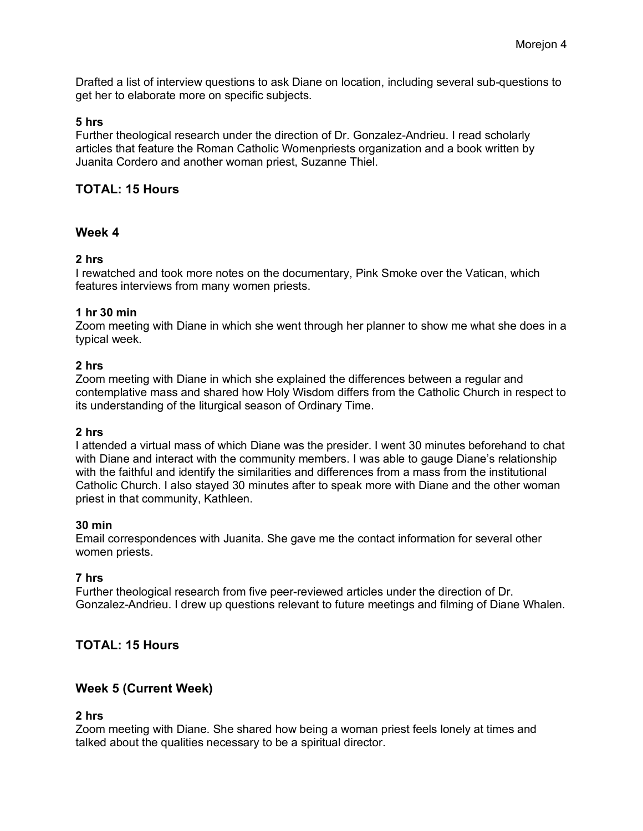Drafted a list of interview questions to ask Diane on location, including several sub-questions to get her to elaborate more on specific subjects.

#### **5 hrs**

Further theological research under the direction of Dr. Gonzalez-Andrieu. I read scholarly articles that feature the Roman Catholic Womenpriests organization and a book written by Juanita Cordero and another woman priest, Suzanne Thiel.

# **TOTAL: 15 Hours**

## **Week 4**

#### **2 hrs**

I rewatched and took more notes on the documentary, Pink Smoke over the Vatican, which features interviews from many women priests.

#### **1 hr 30 min**

Zoom meeting with Diane in which she went through her planner to show me what she does in a typical week.

#### **2 hrs**

Zoom meeting with Diane in which she explained the differences between a regular and contemplative mass and shared how Holy Wisdom differs from the Catholic Church in respect to its understanding of the liturgical season of Ordinary Time.

#### **2 hrs**

I attended a virtual mass of which Diane was the presider. I went 30 minutes beforehand to chat with Diane and interact with the community members. I was able to gauge Diane's relationship with the faithful and identify the similarities and differences from a mass from the institutional Catholic Church. I also stayed 30 minutes after to speak more with Diane and the other woman priest in that community, Kathleen.

#### **30 min**

Email correspondences with Juanita. She gave me the contact information for several other women priests.

### **7 hrs**

Further theological research from five peer-reviewed articles under the direction of Dr. Gonzalez-Andrieu. I drew up questions relevant to future meetings and filming of Diane Whalen.

# **TOTAL: 15 Hours**

### **Week 5 (Current Week)**

#### **2 hrs**

Zoom meeting with Diane. She shared how being a woman priest feels lonely at times and talked about the qualities necessary to be a spiritual director.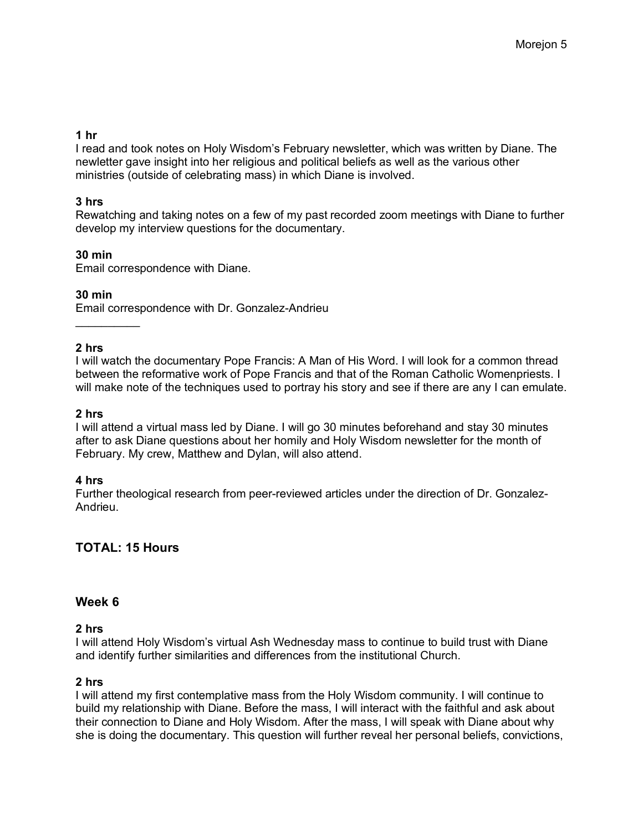### **1 hr**

I read and took notes on Holy Wisdom's February newsletter, which was written by Diane. The newletter gave insight into her religious and political beliefs as well as the various other ministries (outside of celebrating mass) in which Diane is involved.

# **3 hrs**

Rewatching and taking notes on a few of my past recorded zoom meetings with Diane to further develop my interview questions for the documentary.

### **30 min**

Email correspondence with Diane.

### **30 min**

 $\frac{1}{2}$ 

Email correspondence with Dr. Gonzalez-Andrieu

### **2 hrs**

I will watch the documentary Pope Francis: A Man of His Word. I will look for a common thread between the reformative work of Pope Francis and that of the Roman Catholic Womenpriests. I will make note of the techniques used to portray his story and see if there are any I can emulate.

### **2 hrs**

I will attend a virtual mass led by Diane. I will go 30 minutes beforehand and stay 30 minutes after to ask Diane questions about her homily and Holy Wisdom newsletter for the month of February. My crew, Matthew and Dylan, will also attend.

### **4 hrs**

Further theological research from peer-reviewed articles under the direction of Dr. Gonzalez-Andrieu.

# **TOTAL: 15 Hours**

### **Week 6**

### **2 hrs**

I will attend Holy Wisdom's virtual Ash Wednesday mass to continue to build trust with Diane and identify further similarities and differences from the institutional Church.

### **2 hrs**

I will attend my first contemplative mass from the Holy Wisdom community. I will continue to build my relationship with Diane. Before the mass, I will interact with the faithful and ask about their connection to Diane and Holy Wisdom. After the mass, I will speak with Diane about why she is doing the documentary. This question will further reveal her personal beliefs, convictions,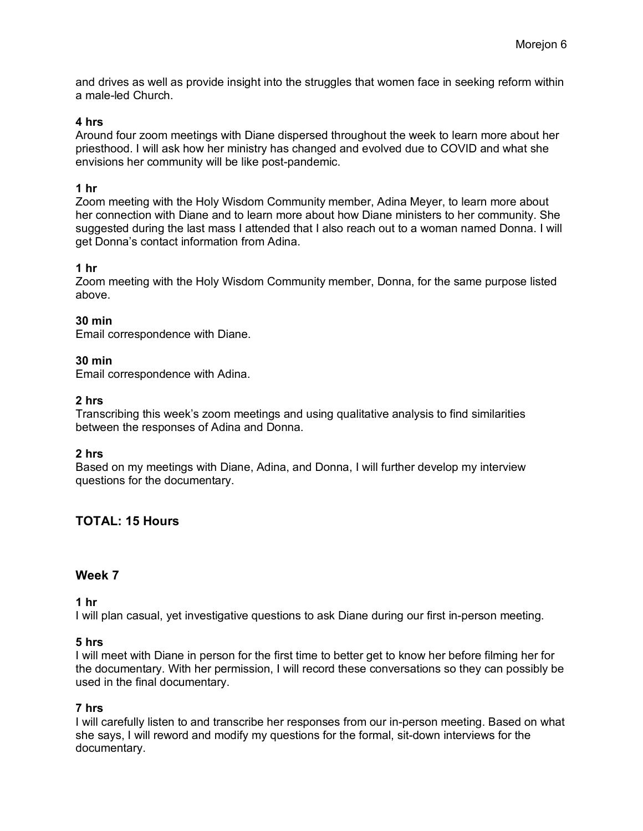and drives as well as provide insight into the struggles that women face in seeking reform within a male-led Church.

### **4 hrs**

Around four zoom meetings with Diane dispersed throughout the week to learn more about her priesthood. I will ask how her ministry has changed and evolved due to COVID and what she envisions her community will be like post-pandemic.

#### **1 hr**

Zoom meeting with the Holy Wisdom Community member, Adina Meyer, to learn more about her connection with Diane and to learn more about how Diane ministers to her community. She suggested during the last mass I attended that I also reach out to a woman named Donna. I will get Donna's contact information from Adina.

#### **1 hr**

Zoom meeting with the Holy Wisdom Community member, Donna, for the same purpose listed above.

### **30 min**

Email correspondence with Diane.

#### **30 min**

Email correspondence with Adina.

#### **2 hrs**

Transcribing this week's zoom meetings and using qualitative analysis to find similarities between the responses of Adina and Donna.

### **2 hrs**

Based on my meetings with Diane, Adina, and Donna, I will further develop my interview questions for the documentary.

# **TOTAL: 15 Hours**

### **Week 7**

#### **1 hr**

I will plan casual, yet investigative questions to ask Diane during our first in-person meeting.

#### **5 hrs**

I will meet with Diane in person for the first time to better get to know her before filming her for the documentary. With her permission, I will record these conversations so they can possibly be used in the final documentary.

#### **7 hrs**

I will carefully listen to and transcribe her responses from our in-person meeting. Based on what she says, I will reword and modify my questions for the formal, sit-down interviews for the documentary.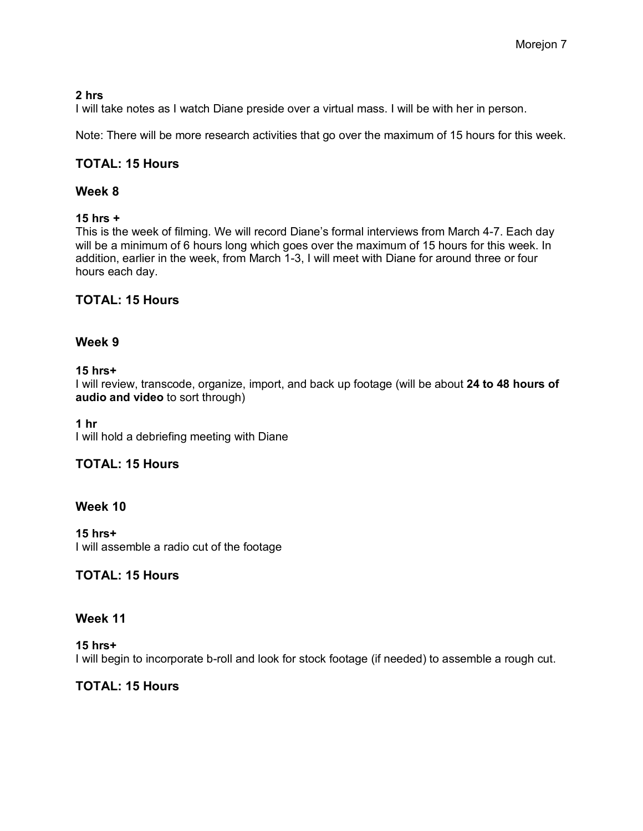### **2 hrs**

I will take notes as I watch Diane preside over a virtual mass. I will be with her in person.

Note: There will be more research activities that go over the maximum of 15 hours for this week.

# **TOTAL: 15 Hours**

### **Week 8**

### **15 hrs +**

This is the week of filming. We will record Diane's formal interviews from March 4-7. Each day will be a minimum of 6 hours long which goes over the maximum of 15 hours for this week. In addition, earlier in the week, from March 1-3, I will meet with Diane for around three or four hours each day.

# **TOTAL: 15 Hours**

# **Week 9**

### **15 hrs+**

I will review, transcode, organize, import, and back up footage (will be about **24 to 48 hours of audio and video** to sort through)

### **1 hr**

I will hold a debriefing meeting with Diane

# **TOTAL: 15 Hours**

# **Week 10**

**15 hrs+** I will assemble a radio cut of the footage

# **TOTAL: 15 Hours**

### **Week 11**

**15 hrs+** I will begin to incorporate b-roll and look for stock footage (if needed) to assemble a rough cut.

# **TOTAL: 15 Hours**